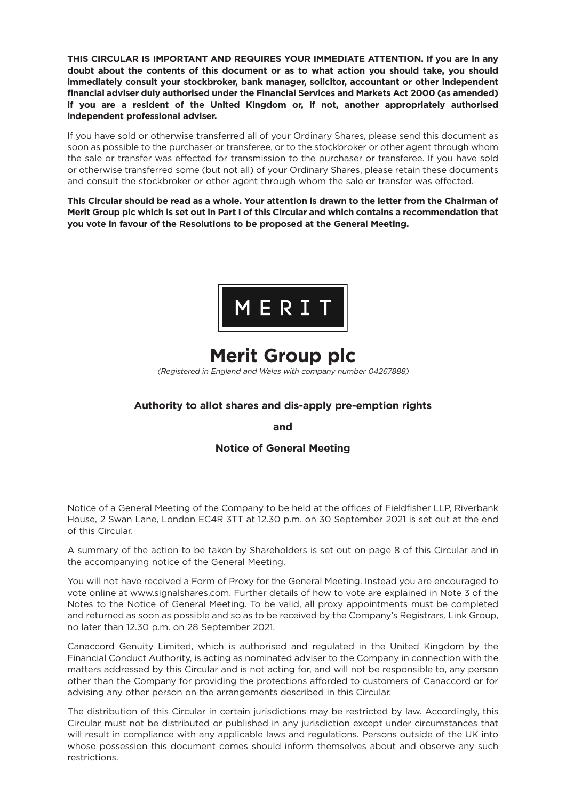**THIS CIRCULAR IS IMPORTANT AND REQUIRES YOUR IMMEDIATE ATTENTION. If you are in any doubt about the contents of this document or as to what action you should take, you should immediately consult your stockbroker, bank manager, solicitor, accountant or other independent financial adviser duly authorised under the Financial Services and Markets Act 2000 (as amended) if you are a resident of the United Kingdom or, if not, another appropriately authorised independent professional adviser.**

If you have sold or otherwise transferred all of your Ordinary Shares, please send this document as soon as possible to the purchaser or transferee, or to the stockbroker or other agent through whom the sale or transfer was effected for transmission to the purchaser or transferee. If you have sold or otherwise transferred some (but not all) of your Ordinary Shares, please retain these documents and consult the stockbroker or other agent through whom the sale or transfer was effected.

This Circular should be read as a whole. Your attention is drawn to the letter from the Chairman of Merit Group plc which is set out in Part I of this Circular and which contains a recommendation that **you vote in favour of the Resolutions to be proposed at the General Meeting.**



# **Merit Group plc**

(Registered in England and Wales with company number 04267888)

# **Authority to allot shares and dis-apply pre-emption rights**

**and**

# **Notice of General Meeting**

Notice of a General Meeting of the Company to be held at the offices of Fieldfisher LLP, Riverbank House, 2 Swan Lane, London EC4R 3TT at 12.30 p.m. on 30 September 2021 is set out at the end of this Circular.

A summary of the action to be taken by Shareholders is set out on page 8 of this Circular and in the accompanying notice of the General Meeting.

You will not have received a Form of Proxy for the General Meeting. Instead you are encouraged to vote online at www.signalshares.com. Further details of how to vote are explained in Note 3 of the Notes to the Notice of General Meeting. To be valid, all proxy appointments must be completed and returned as soon as possible and so as to be received by the Company's Registrars, Link Group, no later than 12.30 p.m. on 28 September 2021.

Canaccord Genuity Limited, which is authorised and regulated in the United Kingdom by the Financial Conduct Authority, is acting as nominated adviser to the Company in connection with the matters addressed by this Circular and is not acting for, and will not be responsible to, any person other than the Company for providing the protections afforded to customers of Canaccord or for advising any other person on the arrangements described in this Circular.

The distribution of this Circular in certain jurisdictions may be restricted by law. Accordingly, this Circular must not be distributed or published in any jurisdiction except under circumstances that will result in compliance with any applicable laws and regulations. Persons outside of the UK into whose possession this document comes should inform themselves about and observe any such restrictions.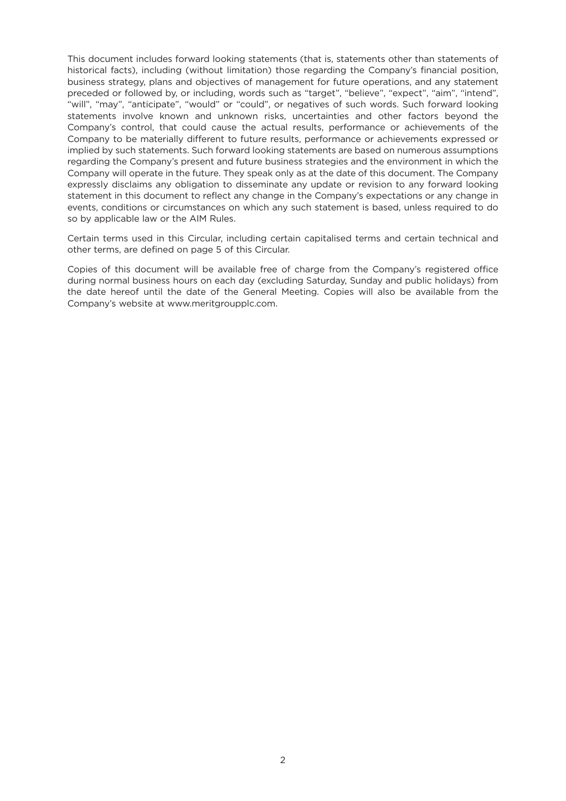This document includes forward looking statements (that is, statements other than statements of historical facts), including (without limitation) those regarding the Company's financial position, business strategy, plans and objectives of management for future operations, and any statement preceded or followed by, or including, words such as "target", "believe", "expect", "aim", "intend", "will", "may", "anticipate", "would" or "could", or negatives of such words. Such forward looking statements involve known and unknown risks, uncertainties and other factors beyond the Company's control, that could cause the actual results, performance or achievements of the Company to be materially different to future results, performance or achievements expressed or implied by such statements. Such forward looking statements are based on numerous assumptions regarding the Company's present and future business strategies and the environment in which the Company will operate in the future. They speak only as at the date of this document. The Company expressly disclaims any obligation to disseminate any update or revision to any forward looking statement in this document to reflect any change in the Company's expectations or any change in events, conditions or circumstances on which any such statement is based, unless required to do so by applicable law or the AIM Rules.

Certain terms used in this Circular, including certain capitalised terms and certain technical and other terms, are defined on page 5 of this Circular.

Copies of this document will be available free of charge from the Company's registered office during normal business hours on each day (excluding Saturday, Sunday and public holidays) from the date hereof until the date of the General Meeting. Copies will also be available from the Company's website at www.meritgroupplc.com.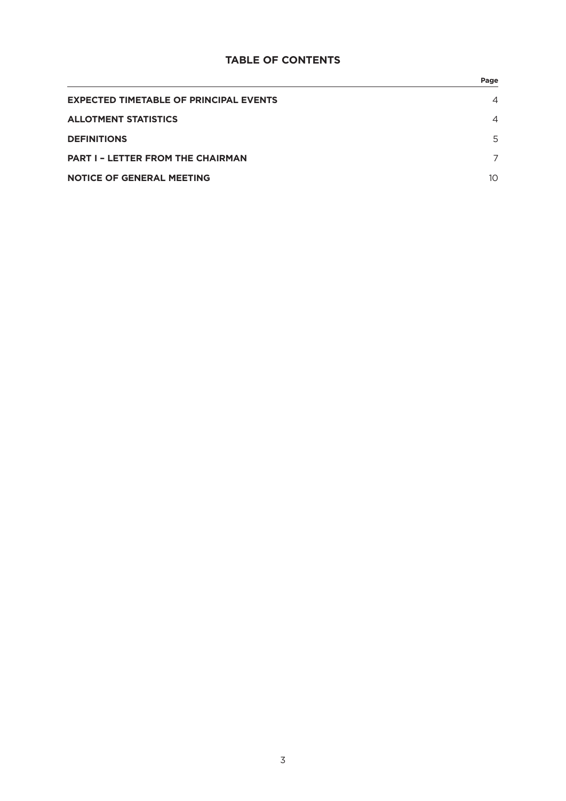# **TABLE OF CONTENTS**

|                                               | Page            |
|-----------------------------------------------|-----------------|
| <b>EXPECTED TIMETABLE OF PRINCIPAL EVENTS</b> | $\overline{4}$  |
| <b>ALLOTMENT STATISTICS</b>                   | $\overline{4}$  |
| <b>DEFINITIONS</b>                            | 5               |
| <b>PART I - LETTER FROM THE CHAIRMAN</b>      |                 |
| <b>NOTICE OF GENERAL MEETING</b>              | 10 <sup>1</sup> |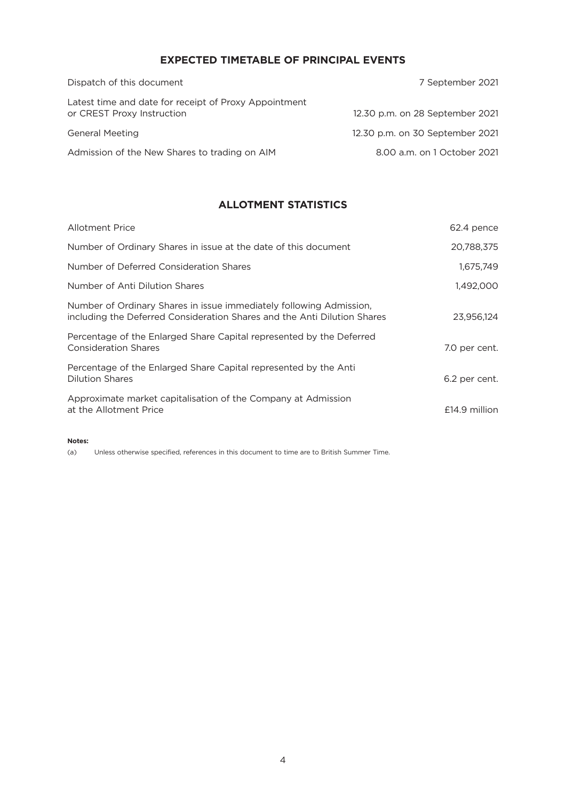# **EXPECTED TIMETABLE OF PRINCIPAL EVENTS**

| Dispatch of this document                                                           | 7 September 2021                |
|-------------------------------------------------------------------------------------|---------------------------------|
| Latest time and date for receipt of Proxy Appointment<br>or CREST Proxy Instruction | 12.30 p.m. on 28 September 2021 |
| <b>General Meeting</b>                                                              | 12.30 p.m. on 30 September 2021 |
| Admission of the New Shares to trading on AIM                                       | 8.00 a.m. on 1 October 2021     |

# **ALLOTMENT STATISTICS**

| <b>Allotment Price</b>                                                                                                                          | 62.4 pence      |
|-------------------------------------------------------------------------------------------------------------------------------------------------|-----------------|
| Number of Ordinary Shares in issue at the date of this document                                                                                 | 20,788,375      |
| Number of Deferred Consideration Shares                                                                                                         | 1,675,749       |
| Number of Anti Dilution Shares                                                                                                                  | 1,492,000       |
| Number of Ordinary Shares in issue immediately following Admission,<br>including the Deferred Consideration Shares and the Anti Dilution Shares | 23.956.124      |
| Percentage of the Enlarged Share Capital represented by the Deferred<br><b>Consideration Shares</b>                                             | 7.0 per cent.   |
| Percentage of the Enlarged Share Capital represented by the Anti<br><b>Dilution Shares</b>                                                      | 6.2 per cent.   |
| Approximate market capitalisation of the Company at Admission<br>at the Allotment Price                                                         | $£14.9$ million |

#### **Notes:**

(a) Unless otherwise specified, references in this document to time are to British Summer Time.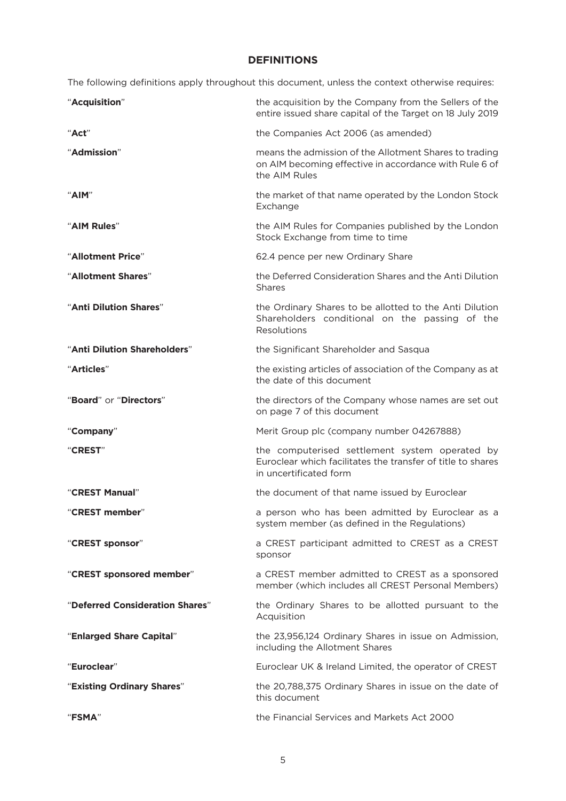# **DEFINITIONS**

The following definitions apply throughout this document, unless the context otherwise requires:

| "Acquisition"                   | the acquisition by the Company from the Sellers of the<br>entire issued share capital of the Target on 18 July 2019                     |
|---------------------------------|-----------------------------------------------------------------------------------------------------------------------------------------|
| "Act"                           | the Companies Act 2006 (as amended)                                                                                                     |
| "Admission"                     | means the admission of the Allotment Shares to trading<br>on AIM becoming effective in accordance with Rule 6 of<br>the AIM Rules       |
| "AIM"                           | the market of that name operated by the London Stock<br>Exchange                                                                        |
| "AIM Rules"                     | the AIM Rules for Companies published by the London<br>Stock Exchange from time to time                                                 |
| "Allotment Price"               | 62.4 pence per new Ordinary Share                                                                                                       |
| "Allotment Shares"              | the Deferred Consideration Shares and the Anti Dilution<br><b>Shares</b>                                                                |
| "Anti Dilution Shares"          | the Ordinary Shares to be allotted to the Anti Dilution<br>Shareholders conditional on the passing of the<br>Resolutions                |
| "Anti Dilution Shareholders"    | the Significant Shareholder and Sasqua                                                                                                  |
| "Articles"                      | the existing articles of association of the Company as at<br>the date of this document                                                  |
| "Board" or "Directors"          | the directors of the Company whose names are set out<br>on page 7 of this document                                                      |
| "Company"                       | Merit Group plc (company number 04267888)                                                                                               |
| "CREST"                         | the computerised settlement system operated by<br>Euroclear which facilitates the transfer of title to shares<br>in uncertificated form |
| "CREST Manual"                  | the document of that name issued by Euroclear                                                                                           |
| "CREST member"                  | a person who has been admitted by Euroclear as a<br>system member (as defined in the Regulations)                                       |
| "CREST sponsor"                 | a CREST participant admitted to CREST as a CREST<br>sponsor                                                                             |
| "CREST sponsored member"        | a CREST member admitted to CREST as a sponsored<br>member (which includes all CREST Personal Members)                                   |
| "Deferred Consideration Shares" | the Ordinary Shares to be allotted pursuant to the<br>Acquisition                                                                       |
| "Enlarged Share Capital"        | the 23,956,124 Ordinary Shares in issue on Admission,<br>including the Allotment Shares                                                 |
| "Euroclear"                     | Euroclear UK & Ireland Limited, the operator of CREST                                                                                   |
| "Existing Ordinary Shares"      | the 20,788,375 Ordinary Shares in issue on the date of<br>this document                                                                 |
| <b>"FSMA"</b>                   | the Financial Services and Markets Act 2000                                                                                             |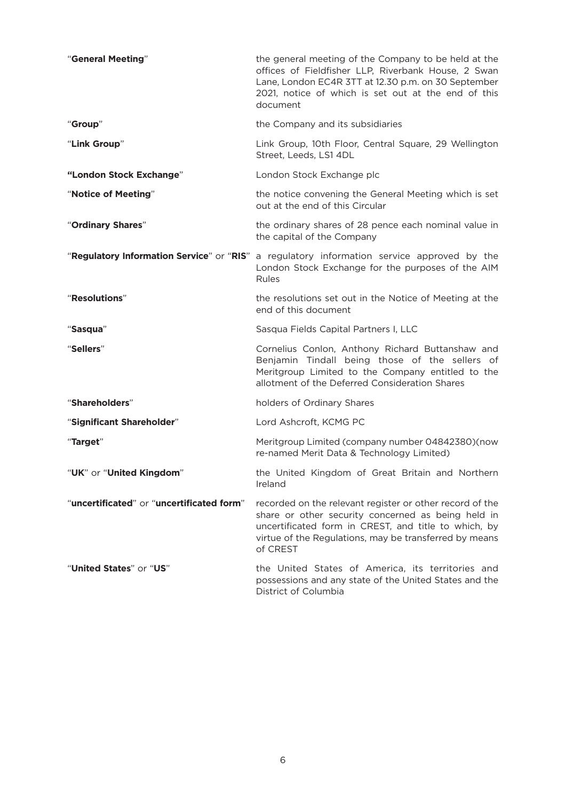| "General Meeting"                         | the general meeting of the Company to be held at the<br>offices of Fieldfisher LLP, Riverbank House, 2 Swan<br>Lane, London EC4R 3TT at 12.30 p.m. on 30 September<br>2021, notice of which is set out at the end of this<br>document        |
|-------------------------------------------|----------------------------------------------------------------------------------------------------------------------------------------------------------------------------------------------------------------------------------------------|
| "Group"                                   | the Company and its subsidiaries                                                                                                                                                                                                             |
| "Link Group"                              | Link Group, 10th Floor, Central Square, 29 Wellington<br>Street, Leeds, LS1 4DL                                                                                                                                                              |
| "London Stock Exchange"                   | London Stock Exchange plc                                                                                                                                                                                                                    |
| "Notice of Meeting"                       | the notice convening the General Meeting which is set<br>out at the end of this Circular                                                                                                                                                     |
| "Ordinary Shares"                         | the ordinary shares of 28 pence each nominal value in<br>the capital of the Company                                                                                                                                                          |
|                                           | "Regulatory Information Service" or "RIS" a regulatory information service approved by the<br>London Stock Exchange for the purposes of the AIM<br>Rules                                                                                     |
| "Resolutions"                             | the resolutions set out in the Notice of Meeting at the<br>end of this document                                                                                                                                                              |
| "Sasqua"                                  | Sasqua Fields Capital Partners I, LLC                                                                                                                                                                                                        |
| "Sellers"                                 | Cornelius Conlon, Anthony Richard Buttanshaw and<br>Benjamin Tindall being those of the sellers of<br>Meritgroup Limited to the Company entitled to the<br>allotment of the Deferred Consideration Shares                                    |
| "Shareholders"                            | holders of Ordinary Shares                                                                                                                                                                                                                   |
| "Significant Shareholder"                 | Lord Ashcroft, KCMG PC                                                                                                                                                                                                                       |
| "Target"                                  | Meritgroup Limited (company number 04842380)(now<br>re-named Merit Data & Technology Limited)                                                                                                                                                |
| "UK" or "United Kingdom"                  | the United Kingdom of Great Britain and Northern<br>Ireland                                                                                                                                                                                  |
| "uncertificated" or "uncertificated form" | recorded on the relevant register or other record of the<br>share or other security concerned as being held in<br>uncertificated form in CREST, and title to which, by<br>virtue of the Regulations, may be transferred by means<br>of CREST |
| " <b>United States</b> " or " <b>US</b> " | the United States of America, its territories and<br>possessions and any state of the United States and the<br>District of Columbia                                                                                                          |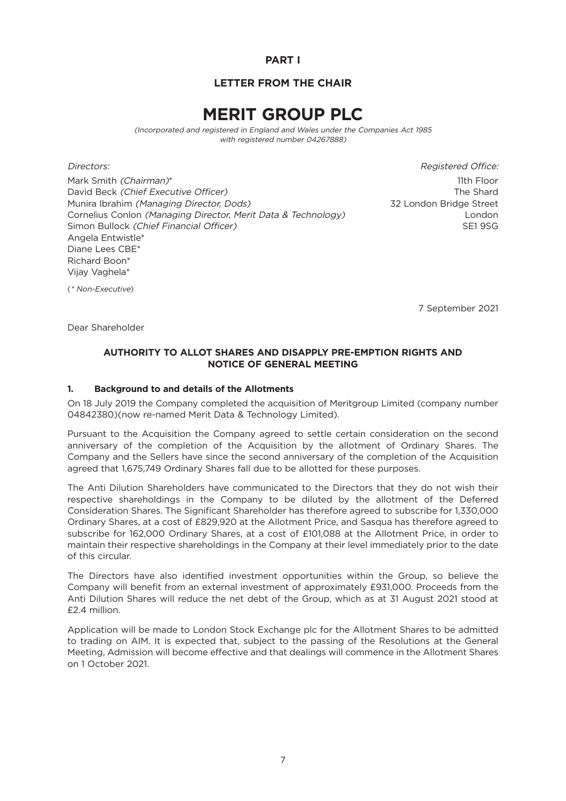# **PART I**

# **LETTER FROM THE CHAIR**

# **MERIT GROUP PLC**

(Incorporated and registered in England and Wales under the Companies Act 1985 with registered number 04267888)

Mark Smith *(Chairman)*\* 11th Floor David Beck (Chief Executive Officer) The Shard Control of the Shard Chief Executive Officer) Munira Ibrahim (Managing Director, Dods) 32 London Bridge Street Cornelius Conlon (Managing Director, Merit Data & Technology) London Simon Bullock (Chief Financial Officer) SE1 9SG Angela Entwistle\* Diane Lees CBE\* Richard Boon\* Vijay Vaghela\*

Directors: Registered Office:

(\* Non-Executive)

7 September 2021

Dear Shareholder

## **AUTHORITY TO ALLOT SHARES AND DISAPPLY PRE-EMPTION RIGHTS AND NOTICE OF GENERAL MEETING**

#### **1. Background to and details of the Allotments**

On 18 July 2019 the Company completed the acquisition of Meritgroup Limited (company number 04842380)(now re-named Merit Data & Technology Limited).

Pursuant to the Acquisition the Company agreed to settle certain consideration on the second anniversary of the completion of the Acquisition by the allotment of Ordinary Shares. The Company and the Sellers have since the second anniversary of the completion of the Acquisition agreed that 1,675,749 Ordinary Shares fall due to be allotted for these purposes.

The Anti Dilution Shareholders have communicated to the Directors that they do not wish their respective shareholdings in the Company to be diluted by the allotment of the Deferred Consideration Shares. The Significant Shareholder has therefore agreed to subscribe for 1,330,000 Ordinary Shares, at a cost of £829,920 at the Allotment Price, and Sasqua has therefore agreed to subscribe for 162,000 Ordinary Shares, at a cost of £101,088 at the Allotment Price, in order to maintain their respective shareholdings in the Company at their level immediately prior to the date of this circular.

The Directors have also identified investment opportunities within the Group, so believe the Company will benefit from an external investment of approximately £931,000. Proceeds from the Anti Dilution Shares will reduce the net debt of the Group, which as at 31 August 2021 stood at £2.4 million.

Application will be made to London Stock Exchange plc for the Allotment Shares to be admitted to trading on AIM. It is expected that, subject to the passing of the Resolutions at the General Meeting, Admission will become effective and that dealings will commence in the Allotment Shares on 1 October 2021.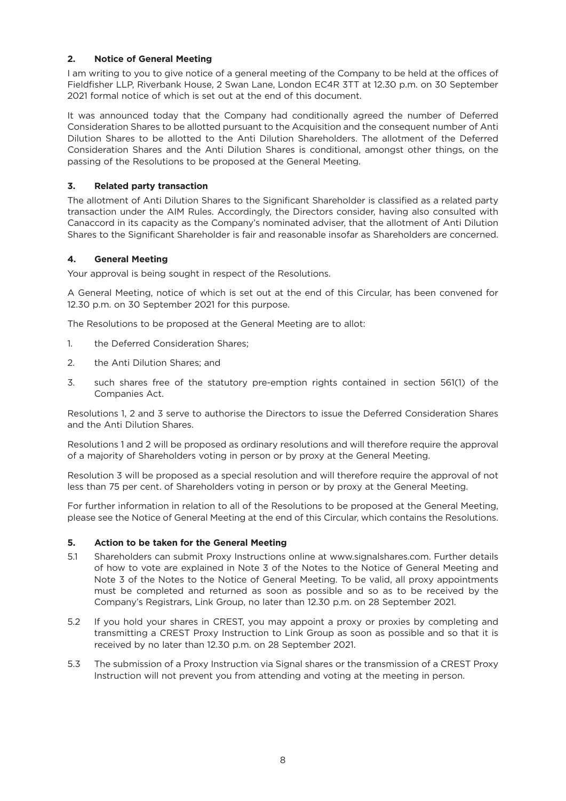## **2. Notice of General Meeting**

I am writing to you to give notice of a general meeting of the Company to be held at the offices of Fieldfisher LLP, Riverbank House, 2 Swan Lane, London EC4R 3TT at 12.30 p.m. on 30 September 2021 formal notice of which is set out at the end of this document.

It was announced today that the Company had conditionally agreed the number of Deferred Consideration Shares to be allotted pursuant to the Acquisition and the consequent number of Anti Dilution Shares to be allotted to the Anti Dilution Shareholders. The allotment of the Deferred Consideration Shares and the Anti Dilution Shares is conditional, amongst other things, on the passing of the Resolutions to be proposed at the General Meeting.

## **3. Related party transaction**

The allotment of Anti Dilution Shares to the Significant Shareholder is classified as a related party transaction under the AIM Rules. Accordingly, the Directors consider, having also consulted with Canaccord in its capacity as the Company's nominated adviser, that the allotment of Anti Dilution Shares to the Significant Shareholder is fair and reasonable insofar as Shareholders are concerned.

## **4. General Meeting**

Your approval is being sought in respect of the Resolutions.

A General Meeting, notice of which is set out at the end of this Circular, has been convened for 12.30 p.m. on 30 September 2021 for this purpose.

The Resolutions to be proposed at the General Meeting are to allot:

- 1. the Deferred Consideration Shares;
- 2. the Anti Dilution Shares; and
- 3. such shares free of the statutory pre-emption rights contained in section 561(1) of the Companies Act.

Resolutions 1, 2 and 3 serve to authorise the Directors to issue the Deferred Consideration Shares and the Anti Dilution Shares.

Resolutions 1 and 2 will be proposed as ordinary resolutions and will therefore require the approval of a majority of Shareholders voting in person or by proxy at the General Meeting.

Resolution 3 will be proposed as a special resolution and will therefore require the approval of not less than 75 per cent. of Shareholders voting in person or by proxy at the General Meeting.

For further information in relation to all of the Resolutions to be proposed at the General Meeting, please see the Notice of General Meeting at the end of this Circular, which contains the Resolutions.

## **5. Action to be taken for the General Meeting**

- 5.1 Shareholders can submit Proxy Instructions online at www.signalshares.com. Further details of how to vote are explained in Note 3 of the Notes to the Notice of General Meeting and Note 3 of the Notes to the Notice of General Meeting. To be valid, all proxy appointments must be completed and returned as soon as possible and so as to be received by the Company's Registrars, Link Group, no later than 12.30 p.m. on 28 September 2021.
- 5.2 If you hold your shares in CREST, you may appoint a proxy or proxies by completing and transmitting a CREST Proxy Instruction to Link Group as soon as possible and so that it is received by no later than 12.30 p.m. on 28 September 2021.
- 5.3 The submission of a Proxy Instruction via Signal shares or the transmission of a CREST Proxy Instruction will not prevent you from attending and voting at the meeting in person.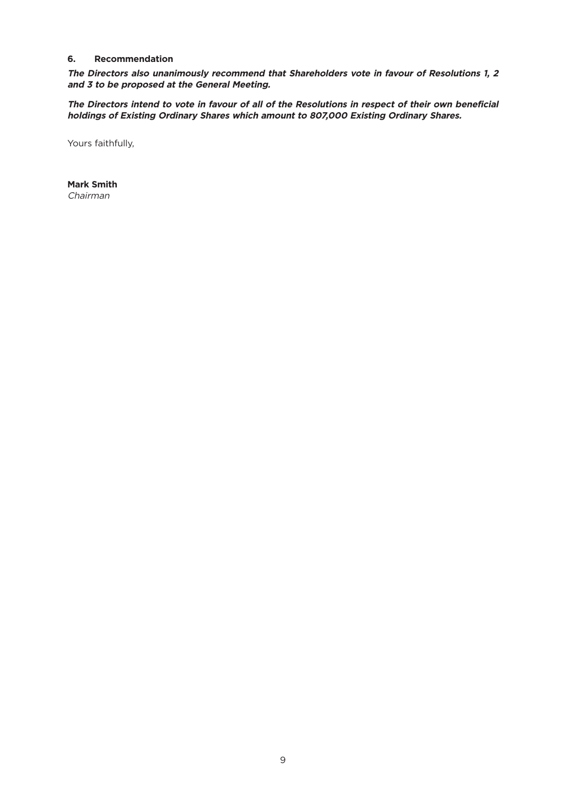#### **6. Recommendation**

**The Directors also unanimously recommend that Shareholders vote in favour of Resolutions 1, 2 and 3 to be proposed at the General Meeting.**

The Directors intend to vote in favour of all of the Resolutions in respect of their own beneficial **holdings of Existing Ordinary Shares which amount to 807,000 Existing Ordinary Shares.**

Yours faithfully,

**Mark Smith** Chairman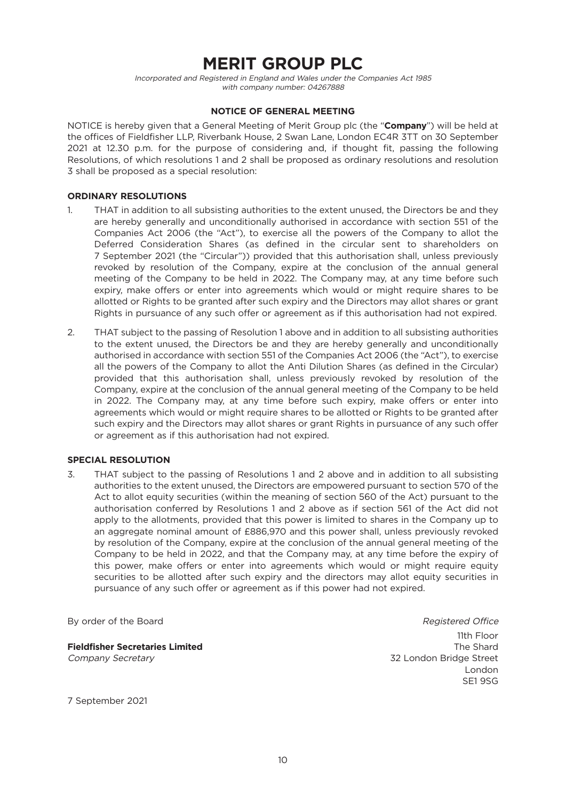# **MERIT GROUP PLC**

Incorporated and Registered in England and Wales under the Companies Act 1985 with company number: 04267888

### **NOTICE OF GENERAL MEETING**

NOTICE is hereby given that a General Meeting of Merit Group plc (the "**Company**") will be held at the offices of Fieldfisher LLP, Riverbank House, 2 Swan Lane, London EC4R 3TT on 30 September 2021 at 12.30 p.m. for the purpose of considering and, if thought fit, passing the following Resolutions, of which resolutions 1 and 2 shall be proposed as ordinary resolutions and resolution 3 shall be proposed as a special resolution:

#### **ORDINARY RESOLUTIONS**

- 1. THAT in addition to all subsisting authorities to the extent unused, the Directors be and they are hereby generally and unconditionally authorised in accordance with section 551 of the Companies Act 2006 (the "Act"), to exercise all the powers of the Company to allot the Deferred Consideration Shares (as defined in the circular sent to shareholders on 7 September 2021 (the "Circular")) provided that this authorisation shall, unless previously revoked by resolution of the Company, expire at the conclusion of the annual general meeting of the Company to be held in 2022. The Company may, at any time before such expiry, make offers or enter into agreements which would or might require shares to be allotted or Rights to be granted after such expiry and the Directors may allot shares or grant Rights in pursuance of any such offer or agreement as if this authorisation had not expired.
- 2. THAT subject to the passing of Resolution 1 above and in addition to all subsisting authorities to the extent unused, the Directors be and they are hereby generally and unconditionally authorised in accordance with section 551 of the Companies Act 2006 (the "Act"), to exercise all the powers of the Company to allot the Anti Dilution Shares (as defined in the Circular) provided that this authorisation shall, unless previously revoked by resolution of the Company, expire at the conclusion of the annual general meeting of the Company to be held in 2022. The Company may, at any time before such expiry, make offers or enter into agreements which would or might require shares to be allotted or Rights to be granted after such expiry and the Directors may allot shares or grant Rights in pursuance of any such offer or agreement as if this authorisation had not expired.

#### **SPECIAL RESOLUTION**

3. THAT subject to the passing of Resolutions 1 and 2 above and in addition to all subsisting authorities to the extent unused, the Directors are empowered pursuant to section 570 of the Act to allot equity securities (within the meaning of section 560 of the Act) pursuant to the authorisation conferred by Resolutions 1 and 2 above as if section 561 of the Act did not apply to the allotments, provided that this power is limited to shares in the Company up to an aggregate nominal amount of £886,970 and this power shall, unless previously revoked by resolution of the Company, expire at the conclusion of the annual general meeting of the Company to be held in 2022, and that the Company may, at any time before the expiry of this power, make offers or enter into agreements which would or might require equity securities to be allotted after such expiry and the directors may allot equity securities in pursuance of any such offer or agreement as if this power had not expired.

**Fieldfisher Secretaries Limited** The Shard Company Secretary 32 London Bridge Street

By order of the Board **Registered Office** Board **Registered Office** 11th Floor London SE1 9SG

7 September 2021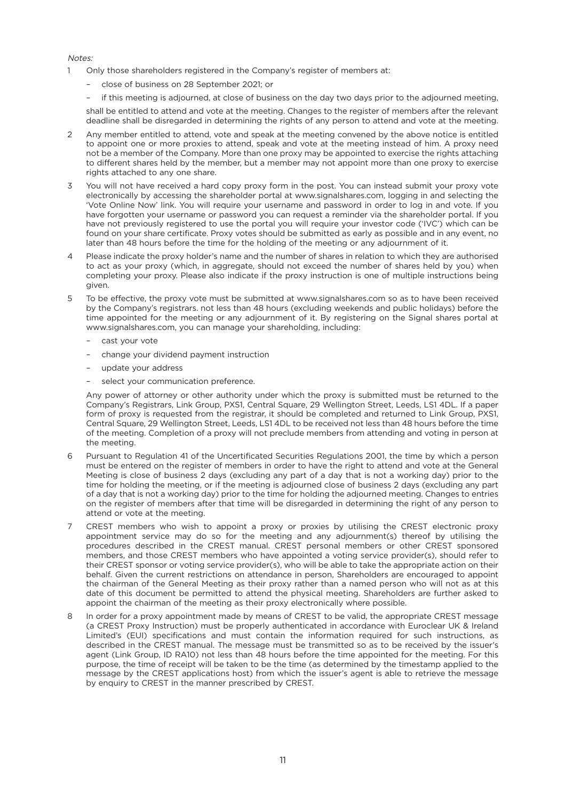Notes:

- 1 Only those shareholders registered in the Company's register of members at:
	- close of business on 28 September 2021; or
	- if this meeting is adjourned, at close of business on the day two days prior to the adjourned meeting,

shall be entitled to attend and vote at the meeting. Changes to the register of members after the relevant deadline shall be disregarded in determining the rights of any person to attend and vote at the meeting.

- Any member entitled to attend, vote and speak at the meeting convened by the above notice is entitled to appoint one or more proxies to attend, speak and vote at the meeting instead of him. A proxy need not be a member of the Company. More than one proxy may be appointed to exercise the rights attaching to different shares held by the member, but a member may not appoint more than one proxy to exercise rights attached to any one share.
- 3 You will not have received a hard copy proxy form in the post. You can instead submit your proxy vote electronically by accessing the shareholder portal at www.signalshares.com, logging in and selecting the 'Vote Online Now' link. You will require your username and password in order to log in and vote. If you have forgotten your username or password you can request a reminder via the shareholder portal. If you have not previously registered to use the portal you will require your investor code ('IVC') which can be found on your share certificate. Proxy votes should be submitted as early as possible and in any event, no later than 48 hours before the time for the holding of the meeting or any adjournment of it.
- 4 Please indicate the proxy holder's name and the number of shares in relation to which they are authorised to act as your proxy (which, in aggregate, should not exceed the number of shares held by you) when completing your proxy. Please also indicate if the proxy instruction is one of multiple instructions being given.
- 5 To be effective, the proxy vote must be submitted at www.signalshares.com so as to have been received by the Company's registrars. not less than 48 hours (excluding weekends and public holidays) before the time appointed for the meeting or any adjournment of it. By registering on the Signal shares portal at www.signalshares.com, you can manage your shareholding, including:
	- cast your vote
	- change your dividend payment instruction
	- update your address
	- select your communication preference.

Any power of attorney or other authority under which the proxy is submitted must be returned to the Company's Registrars, Link Group, PXS1, Central Square, 29 Wellington Street, Leeds, LS1 4DL. If a paper form of proxy is requested from the registrar, it should be completed and returned to Link Group, PXS1, Central Square, 29 Wellington Street, Leeds, LS1 4DL to be received not less than 48 hours before the time of the meeting. Completion of a proxy will not preclude members from attending and voting in person at the meeting.

- 6 Pursuant to Regulation 41 of the Uncertificated Securities Regulations 2001, the time by which a person must be entered on the register of members in order to have the right to attend and vote at the General Meeting is close of business 2 days (excluding any part of a day that is not a working day) prior to the time for holding the meeting, or if the meeting is adjourned close of business 2 days (excluding any part of a day that is not a working day) prior to the time for holding the adjourned meeting. Changes to entries on the register of members after that time will be disregarded in determining the right of any person to attend or vote at the meeting.
- 7 CREST members who wish to appoint a proxy or proxies by utilising the CREST electronic proxy appointment service may do so for the meeting and any adjournment(s) thereof by utilising the procedures described in the CREST manual. CREST personal members or other CREST sponsored members, and those CREST members who have appointed a voting service provider(s), should refer to their CREST sponsor or voting service provider(s), who will be able to take the appropriate action on their behalf. Given the current restrictions on attendance in person, Shareholders are encouraged to appoint the chairman of the General Meeting as their proxy rather than a named person who will not as at this date of this document be permitted to attend the physical meeting. Shareholders are further asked to appoint the chairman of the meeting as their proxy electronically where possible.
- 8 In order for a proxy appointment made by means of CREST to be valid, the appropriate CREST message (a CREST Proxy Instruction) must be properly authenticated in accordance with Euroclear UK & Ireland Limited's (EUI) specifications and must contain the information required for such instructions, as described in the CREST manual. The message must be transmitted so as to be received by the issuer's agent (Link Group, ID RA10) not less than 48 hours before the time appointed for the meeting. For this purpose, the time of receipt will be taken to be the time (as determined by the timestamp applied to the message by the CREST applications host) from which the issuer's agent is able to retrieve the message by enquiry to CREST in the manner prescribed by CREST.